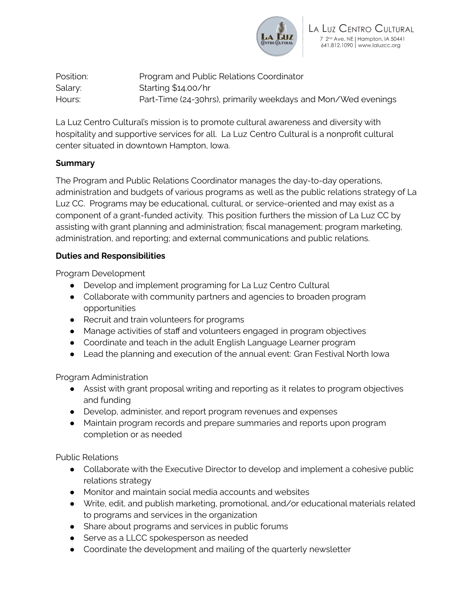

Position: Program and Public Relations Coordinator Salary: Starting \$14.00/hr Hours: Part-Time (24-30hrs), primarily weekdays and Mon/Wed evenings

La Luz Centro Cultural's mission is to promote cultural awareness and diversity with hospitality and supportive services for all. La Luz Centro Cultural is a nonprofit cultural center situated in downtown Hampton, Iowa.

### **Summary**

The Program and Public Relations Coordinator manages the day-to-day operations, administration and budgets of various programs as well as the public relations strategy of La Luz CC. Programs may be educational, cultural, or service-oriented and may exist as a component of a grant-funded activity. This position furthers the mission of La Luz CC by assisting with grant planning and administration; fiscal management; program marketing, administration, and reporting; and external communications and public relations.

## **Duties and Responsibilities**

Program Development

- Develop and implement programing for La Luz Centro Cultural
- Collaborate with community partners and agencies to broaden program opportunities
- Recruit and train volunteers for programs
- Manage activities of staff and volunteers engaged in program objectives
- Coordinate and teach in the adult English Language Learner program
- Lead the planning and execution of the annual event: Gran Festival North Iowa

Program Administration

- Assist with grant proposal writing and reporting as it relates to program objectives and funding
- Develop, administer, and report program revenues and expenses
- Maintain program records and prepare summaries and reports upon program completion or as needed

Public Relations

- Collaborate with the Executive Director to develop and implement a cohesive public relations strategy
- Monitor and maintain social media accounts and websites
- Write, edit, and publish marketing, promotional, and/or educational materials related to programs and services in the organization
- Share about programs and services in public forums
- Serve as a LLCC spokesperson as needed
- Coordinate the development and mailing of the quarterly newsletter